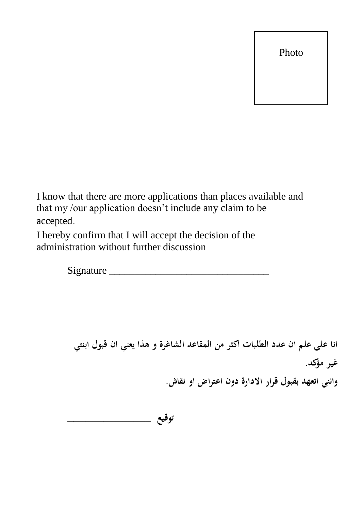Photo

I know that there are more applications than places available and that my /our application doesn't include any claim to be accepted.

I hereby confirm that I will accept the decision of the administration without further discussion

Signature \_\_\_\_\_\_\_\_\_\_\_\_\_\_\_\_\_\_\_\_\_\_\_\_\_\_\_\_\_\_\_

**انا على علم ان عدد الطلبات اكثر من المقاعد الشاغرة و هذا يعني ان قبول ابنتي غير مؤكد. وانني اتعهد بقبول قرار االدارة دون اعتراض او نقاش.**

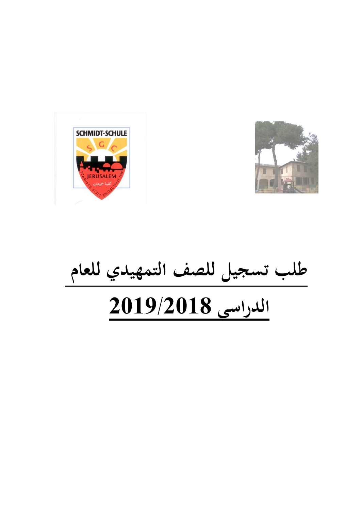



**طلب تسجيل للصف التمهيدي للعام الدراسي 1029/1028**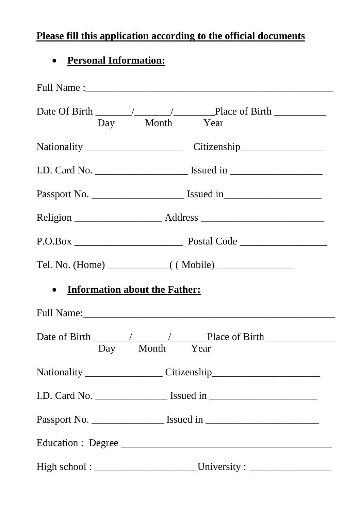# **Please fill this application according to the official documents**

# **Personal Information:**

|                                                   | Day Month Year                                                                    |  |  |  |  |
|---------------------------------------------------|-----------------------------------------------------------------------------------|--|--|--|--|
|                                                   |                                                                                   |  |  |  |  |
|                                                   |                                                                                   |  |  |  |  |
|                                                   |                                                                                   |  |  |  |  |
|                                                   |                                                                                   |  |  |  |  |
|                                                   |                                                                                   |  |  |  |  |
|                                                   |                                                                                   |  |  |  |  |
| <b>Information about the Father:</b><br>$\bullet$ |                                                                                   |  |  |  |  |
|                                                   |                                                                                   |  |  |  |  |
|                                                   | Day Month Year                                                                    |  |  |  |  |
|                                                   |                                                                                   |  |  |  |  |
|                                                   |                                                                                   |  |  |  |  |
|                                                   | Passport No. ________________________ Issued in _________________________________ |  |  |  |  |
|                                                   | Education : Degree                                                                |  |  |  |  |
|                                                   |                                                                                   |  |  |  |  |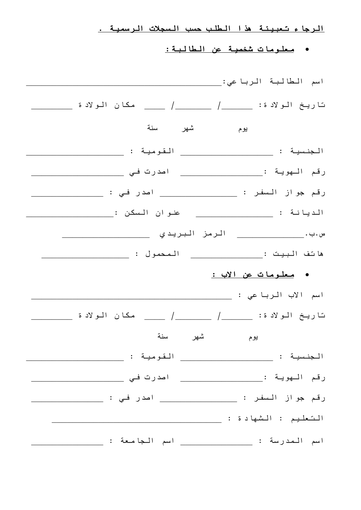الرجاء تعبيئة هذا الطلب حسب السجالت الرسمية .

### معلومات شخصية عن الطالبة:

| تاريخ الولادة: ______/ _______/ ______ مكان الولادة _________                     |
|-----------------------------------------------------------------------------------|
| يوم شهر سنة                                                                       |
|                                                                                   |
| رقم الـهوية :_______________________ اصدرت فـي __________________________________ |
| رقم جواز السفر : ___________________ اصدر في : _________________________________  |
|                                                                                   |
|                                                                                   |
|                                                                                   |
| • <u>معلومات عن الاب :</u>                                                        |
|                                                                                   |
|                                                                                   |
| سنة<br>يوم شهر                                                                    |
|                                                                                   |
| رقم الـهويـة :_____________________ اصدرت فـي ________________                    |
| رقم جواز السفر : ___________________ اصدر في : _________________________________  |
|                                                                                   |
|                                                                                   |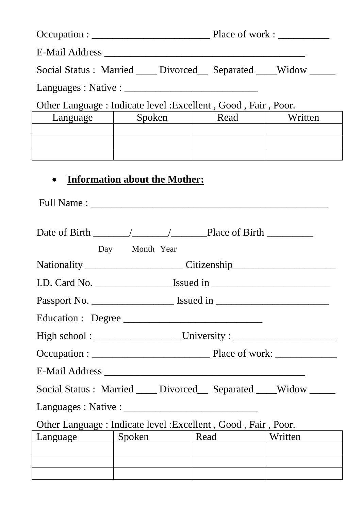|                    | Social Status: Married ____ Divorced__ Separated ___ Widow _____   |      |         |  |  |  |  |
|--------------------|--------------------------------------------------------------------|------|---------|--|--|--|--|
|                    |                                                                    |      |         |  |  |  |  |
|                    | Other Language: Indicate level: Excellent, Good, Fair, Poor.       |      |         |  |  |  |  |
| Language           | Spoken                                                             | Read | Written |  |  |  |  |
|                    |                                                                    |      |         |  |  |  |  |
|                    |                                                                    |      |         |  |  |  |  |
|                    |                                                                    |      |         |  |  |  |  |
|                    | <b>Information about the Mother:</b>                               |      |         |  |  |  |  |
|                    |                                                                    |      |         |  |  |  |  |
|                    |                                                                    |      |         |  |  |  |  |
|                    | Day Month Year                                                     |      |         |  |  |  |  |
|                    |                                                                    |      |         |  |  |  |  |
|                    |                                                                    |      |         |  |  |  |  |
|                    |                                                                    |      |         |  |  |  |  |
| Education : Degree |                                                                    |      |         |  |  |  |  |
|                    |                                                                    |      |         |  |  |  |  |
|                    |                                                                    |      |         |  |  |  |  |
|                    |                                                                    |      |         |  |  |  |  |
|                    | Social Status: Married ____ Divorced___ Separated ____ Widow _____ |      |         |  |  |  |  |
|                    |                                                                    |      |         |  |  |  |  |
|                    | Other Language : Indicate level : Excellent, Good, Fair, Poor.     |      |         |  |  |  |  |
| Language           | Spoken                                                             | Read | Written |  |  |  |  |
|                    |                                                                    |      |         |  |  |  |  |
|                    |                                                                    |      |         |  |  |  |  |
|                    |                                                                    |      |         |  |  |  |  |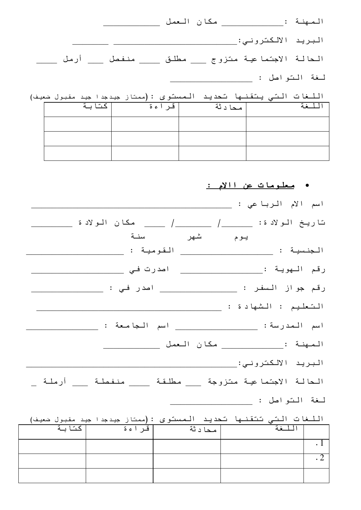|                                                                   |  |  |               | المصهنة : |  |
|-------------------------------------------------------------------|--|--|---------------|-----------|--|
|                                                                   |  |  |               |           |  |
| الحالة الاجتماعية متزوج ___ مطلق ____ منفصل ___ أرمل ____         |  |  |               |           |  |
|                                                                   |  |  | لغة التواصل : |           |  |
| اللغات التي يتقنها تحديد الممسئوي : (ممتاز جيدجدا جيد مقبول ضعيف) |  |  |               |           |  |

| كتابة | قراءة | محادثة |  |
|-------|-------|--------|--|
|       |       |        |  |
|       |       |        |  |
|       |       |        |  |

معلومات عن ااالم :

|                                                                                                                                                |         | اسم الأم الرباعي :                                          |                              |
|------------------------------------------------------------------------------------------------------------------------------------------------|---------|-------------------------------------------------------------|------------------------------|
|                                                                                                                                                |         | .<br>تاريخ الولادة: ______/ ______/ _____ مكان الولادة      |                              |
|                                                                                                                                                | شهر سنة | يوم                                                         |                              |
|                                                                                                                                                |         |                                                             |                              |
|                                                                                                                                                |         | رقم الـهويـة :_______________________ اصدرت فـي _______     |                              |
|                                                                                                                                                |         |                                                             |                              |
|                                                                                                                                                |         |                                                             |                              |
|                                                                                                                                                |         | اسم المدرسة: ____________________ اسم الجامعة :             |                              |
|                                                                                                                                                |         |                                                             |                              |
|                                                                                                                                                |         |                                                             |                              |
|                                                                                                                                                |         | الحالة الاجتماعية متزوجة ___ مطلقة ____ منفصلة ___ أرملـة _ |                              |
|                                                                                                                                                |         | لغة التواصل : _                                             |                              |
|                                                                                                                                                |         |                                                             |                              |
| اللغات التي تتقنها تحديد الممستوى :(ممتاز جيدجدا جيد مقبول ضعيف)<br>  اللغة    محادثة    فراءة    كتابة<br>  اللغة    محادثة    فراءة    كتابة |         |                                                             |                              |
|                                                                                                                                                |         |                                                             | $\overline{\phantom{a}}$ . 1 |
|                                                                                                                                                |         |                                                             | $\overline{\phantom{0}}$ . 2 |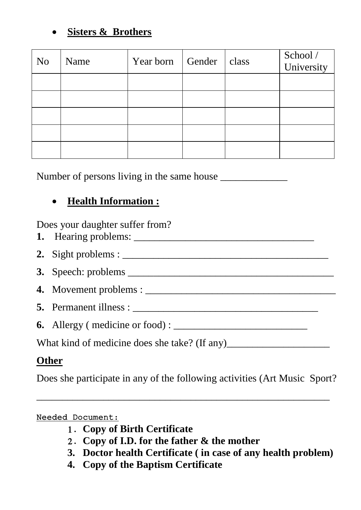## **Sisters & Brothers**

| N <sub>o</sub> | Name | Year born Gender | class | School /<br>University |
|----------------|------|------------------|-------|------------------------|
|                |      |                  |       |                        |
|                |      |                  |       |                        |
|                |      |                  |       |                        |
|                |      |                  |       |                        |
|                |      |                  |       |                        |

Number of persons living in the same house

# **Health Information :**

Does your daughter suffer from?

| 2. Sight problems : $\frac{1}{2}$ = $\frac{1}{2}$ = $\frac{1}{2}$ = $\frac{1}{2}$ = $\frac{1}{2}$ = $\frac{1}{2}$ = $\frac{1}{2}$ = $\frac{1}{2}$ = $\frac{1}{2}$ = $\frac{1}{2}$ = $\frac{1}{2}$ = $\frac{1}{2}$ = $\frac{1}{2}$ = $\frac{1}{2}$ = $\frac{1}{2}$ = $\frac{1}{2}$ = $\frac{1}{2}$ |
|---------------------------------------------------------------------------------------------------------------------------------------------------------------------------------------------------------------------------------------------------------------------------------------------------|
|                                                                                                                                                                                                                                                                                                   |
|                                                                                                                                                                                                                                                                                                   |
|                                                                                                                                                                                                                                                                                                   |
| <b>6.</b> Allergy (medicine or food): $\frac{1}{1}$                                                                                                                                                                                                                                               |
|                                                                                                                                                                                                                                                                                                   |

# **Other**

Does she participate in any of the following activities (Art Music Sport?

\_\_\_\_\_\_\_\_\_\_\_\_\_\_\_\_\_\_\_\_\_\_\_\_\_\_\_\_\_\_\_\_\_\_\_\_\_\_\_\_\_\_\_\_\_\_\_\_\_\_\_\_\_\_\_\_\_

### Needed Document:

- 1. **Copy of Birth Certificate**
- 2. **Copy of I.D. for the father & the mother**
- **3. Doctor health Certificate ( in case of any health problem)**
- **4. Copy of the Baptism Certificate**